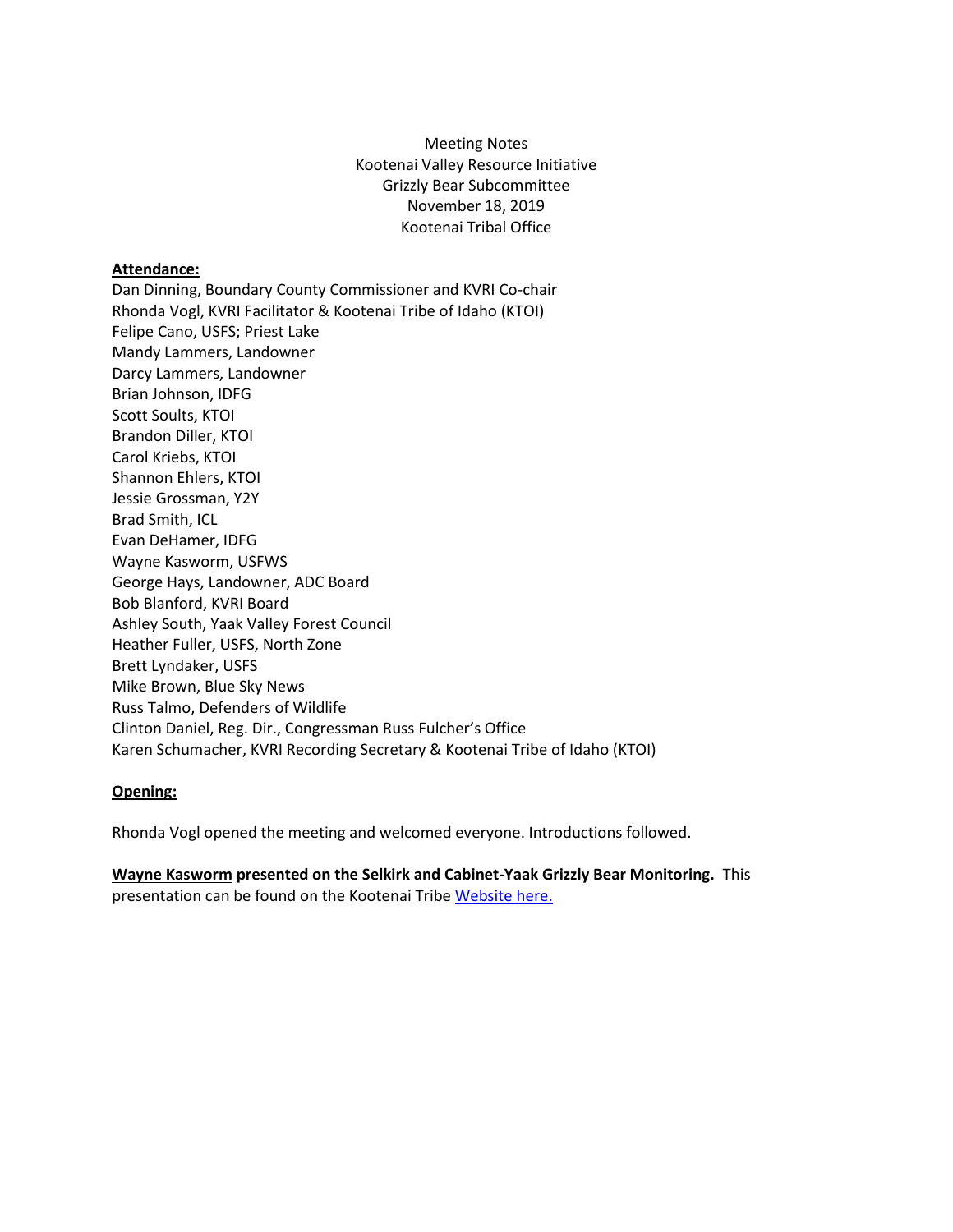Meeting Notes Kootenai Valley Resource Initiative Grizzly Bear Subcommittee November 18, 2019 Kootenai Tribal Office

## **Attendance:**

Dan Dinning, Boundary County Commissioner and KVRI Co-chair Rhonda Vogl, KVRI Facilitator & Kootenai Tribe of Idaho (KTOI) Felipe Cano, USFS; Priest Lake Mandy Lammers, Landowner Darcy Lammers, Landowner Brian Johnson, IDFG Scott Soults, KTOI Brandon Diller, KTOI Carol Kriebs, KTOI Shannon Ehlers, KTOI Jessie Grossman, Y2Y Brad Smith, ICL Evan DeHamer, IDFG Wayne Kasworm, USFWS George Hays, Landowner, ADC Board Bob Blanford, KVRI Board Ashley South, Yaak Valley Forest Council Heather Fuller, USFS, North Zone Brett Lyndaker, USFS Mike Brown, Blue Sky News Russ Talmo, Defenders of Wildlife Clinton Daniel, Reg. Dir., Congressman Russ Fulcher's Office Karen Schumacher, KVRI Recording Secretary & Kootenai Tribe of Idaho (KTOI)

## **Opening:**

Rhonda Vogl opened the meeting and welcomed everyone. Introductions followed.

**Wayne Kasworm presented on the Selkirk and Cabinet-Yaak Grizzly Bear Monitoring.** This presentation can be found on the Kootenai Tribe [Website here.](http://www.kootenai.org/documents/WayneKaswormPresentSCYKGB111819_000.pdf)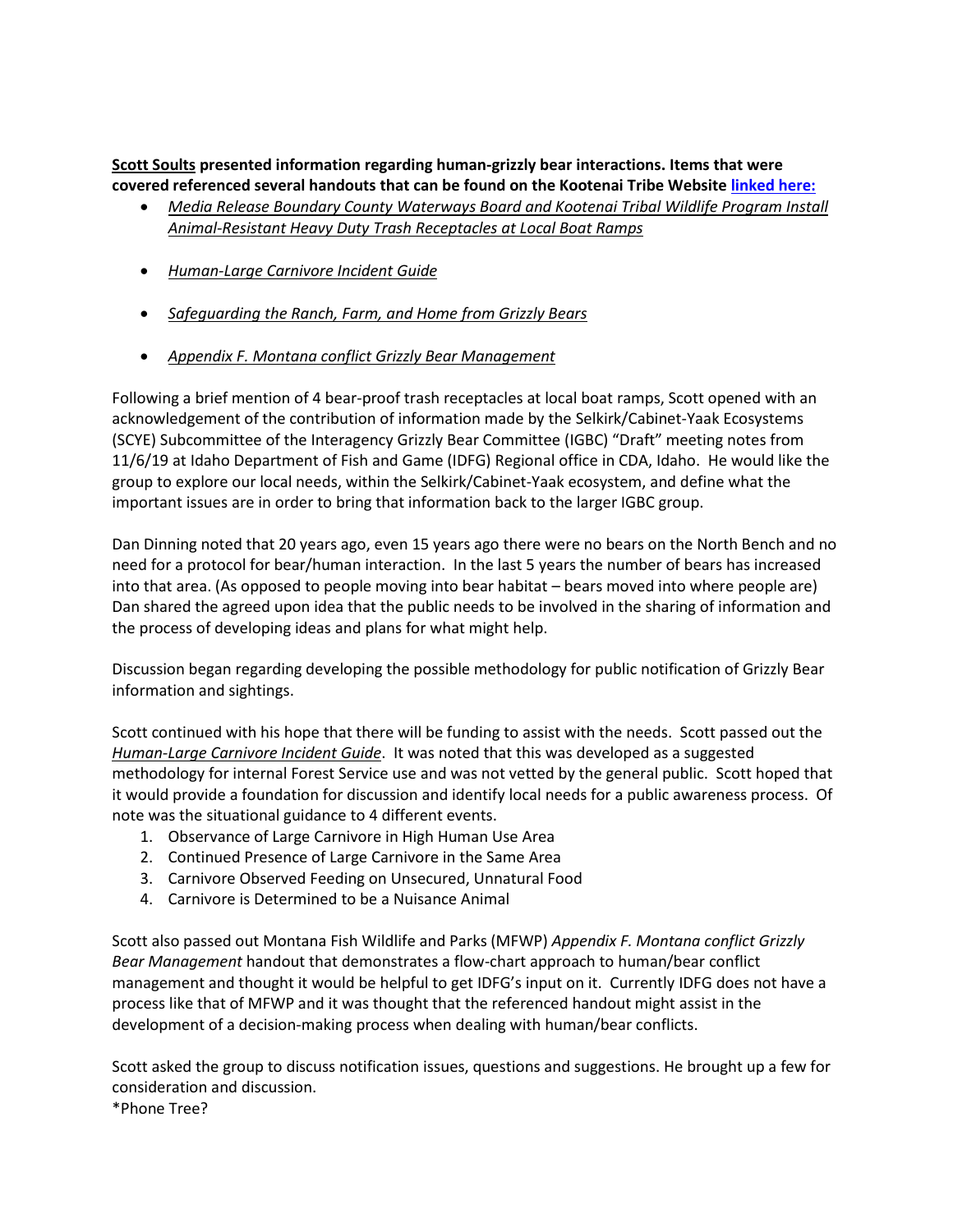**Scott Soults presented information regarding human-grizzly bear interactions. Items that were covered referenced several handouts that can be found on the Kootenai Tribe Website [linked here:](http://www.kootenai.org/kvri_docs.html)**

- *Media Release Boundary County Waterways Board and Kootenai Tribal Wildlife Program Install Animal-Resistant Heavy Duty Trash Receptacles at Local Boat Ramps*
- *Human-Large Carnivore Incident Guide*
- *Safeguarding the Ranch, Farm, and Home from Grizzly Bears*
- *Appendix F. Montana conflict Grizzly Bear Management*

Following a brief mention of 4 bear-proof trash receptacles at local boat ramps, Scott opened with an acknowledgement of the contribution of information made by the Selkirk/Cabinet-Yaak Ecosystems (SCYE) Subcommittee of the Interagency Grizzly Bear Committee (IGBC) "Draft" meeting notes from 11/6/19 at Idaho Department of Fish and Game (IDFG) Regional office in CDA, Idaho. He would like the group to explore our local needs, within the Selkirk/Cabinet-Yaak ecosystem, and define what the important issues are in order to bring that information back to the larger IGBC group.

Dan Dinning noted that 20 years ago, even 15 years ago there were no bears on the North Bench and no need for a protocol for bear/human interaction. In the last 5 years the number of bears has increased into that area. (As opposed to people moving into bear habitat – bears moved into where people are) Dan shared the agreed upon idea that the public needs to be involved in the sharing of information and the process of developing ideas and plans for what might help.

Discussion began regarding developing the possible methodology for public notification of Grizzly Bear information and sightings.

Scott continued with his hope that there will be funding to assist with the needs. Scott passed out the *Human-Large Carnivore Incident Guide*. It was noted that this was developed as a suggested methodology for internal Forest Service use and was not vetted by the general public. Scott hoped that it would provide a foundation for discussion and identify local needs for a public awareness process. Of note was the situational guidance to 4 different events.

- 1. Observance of Large Carnivore in High Human Use Area
- 2. Continued Presence of Large Carnivore in the Same Area
- 3. Carnivore Observed Feeding on Unsecured, Unnatural Food
- 4. Carnivore is Determined to be a Nuisance Animal

Scott also passed out Montana Fish Wildlife and Parks (MFWP) *Appendix F. Montana conflict Grizzly Bear Management* handout that demonstrates a flow-chart approach to human/bear conflict management and thought it would be helpful to get IDFG's input on it. Currently IDFG does not have a process like that of MFWP and it was thought that the referenced handout might assist in the development of a decision-making process when dealing with human/bear conflicts.

Scott asked the group to discuss notification issues, questions and suggestions. He brought up a few for consideration and discussion.

\*Phone Tree?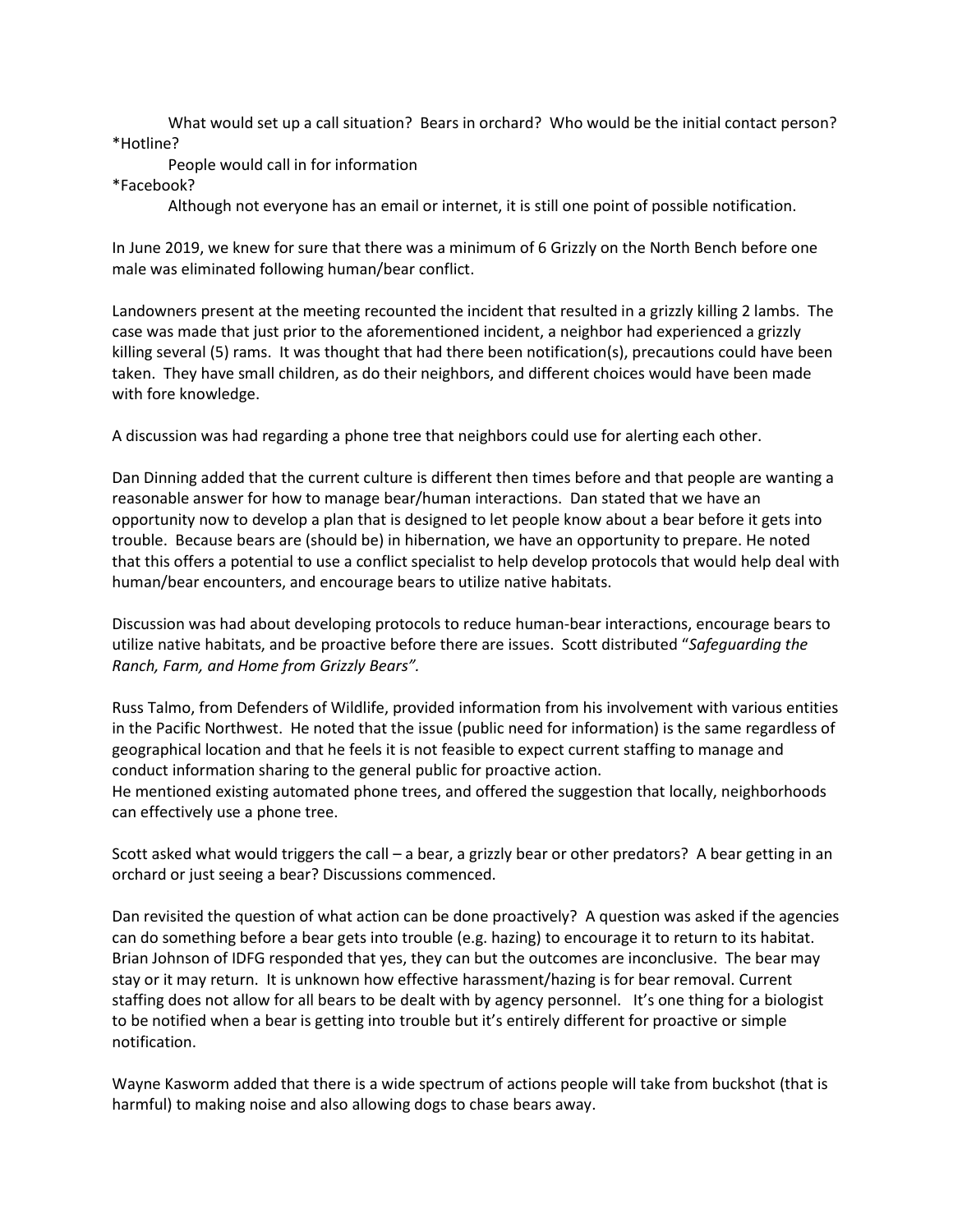What would set up a call situation? Bears in orchard? Who would be the initial contact person? \*Hotline?

People would call in for information

\*Facebook?

Although not everyone has an email or internet, it is still one point of possible notification.

In June 2019, we knew for sure that there was a minimum of 6 Grizzly on the North Bench before one male was eliminated following human/bear conflict.

Landowners present at the meeting recounted the incident that resulted in a grizzly killing 2 lambs. The case was made that just prior to the aforementioned incident, a neighbor had experienced a grizzly killing several (5) rams. It was thought that had there been notification(s), precautions could have been taken. They have small children, as do their neighbors, and different choices would have been made with fore knowledge.

A discussion was had regarding a phone tree that neighbors could use for alerting each other.

Dan Dinning added that the current culture is different then times before and that people are wanting a reasonable answer for how to manage bear/human interactions. Dan stated that we have an opportunity now to develop a plan that is designed to let people know about a bear before it gets into trouble. Because bears are (should be) in hibernation, we have an opportunity to prepare. He noted that this offers a potential to use a conflict specialist to help develop protocols that would help deal with human/bear encounters, and encourage bears to utilize native habitats.

Discussion was had about developing protocols to reduce human-bear interactions, encourage bears to utilize native habitats, and be proactive before there are issues. Scott distributed "*Safeguarding the Ranch, Farm, and Home from Grizzly Bears".*

Russ Talmo, from Defenders of Wildlife, provided information from his involvement with various entities in the Pacific Northwest. He noted that the issue (public need for information) is the same regardless of geographical location and that he feels it is not feasible to expect current staffing to manage and conduct information sharing to the general public for proactive action.

He mentioned existing automated phone trees, and offered the suggestion that locally, neighborhoods can effectively use a phone tree.

Scott asked what would triggers the call – a bear, a grizzly bear or other predators? A bear getting in an orchard or just seeing a bear? Discussions commenced.

Dan revisited the question of what action can be done proactively? A question was asked if the agencies can do something before a bear gets into trouble (e.g. hazing) to encourage it to return to its habitat. Brian Johnson of IDFG responded that yes, they can but the outcomes are inconclusive. The bear may stay or it may return. It is unknown how effective harassment/hazing is for bear removal. Current staffing does not allow for all bears to be dealt with by agency personnel. It's one thing for a biologist to be notified when a bear is getting into trouble but it's entirely different for proactive or simple notification.

Wayne Kasworm added that there is a wide spectrum of actions people will take from buckshot (that is harmful) to making noise and also allowing dogs to chase bears away.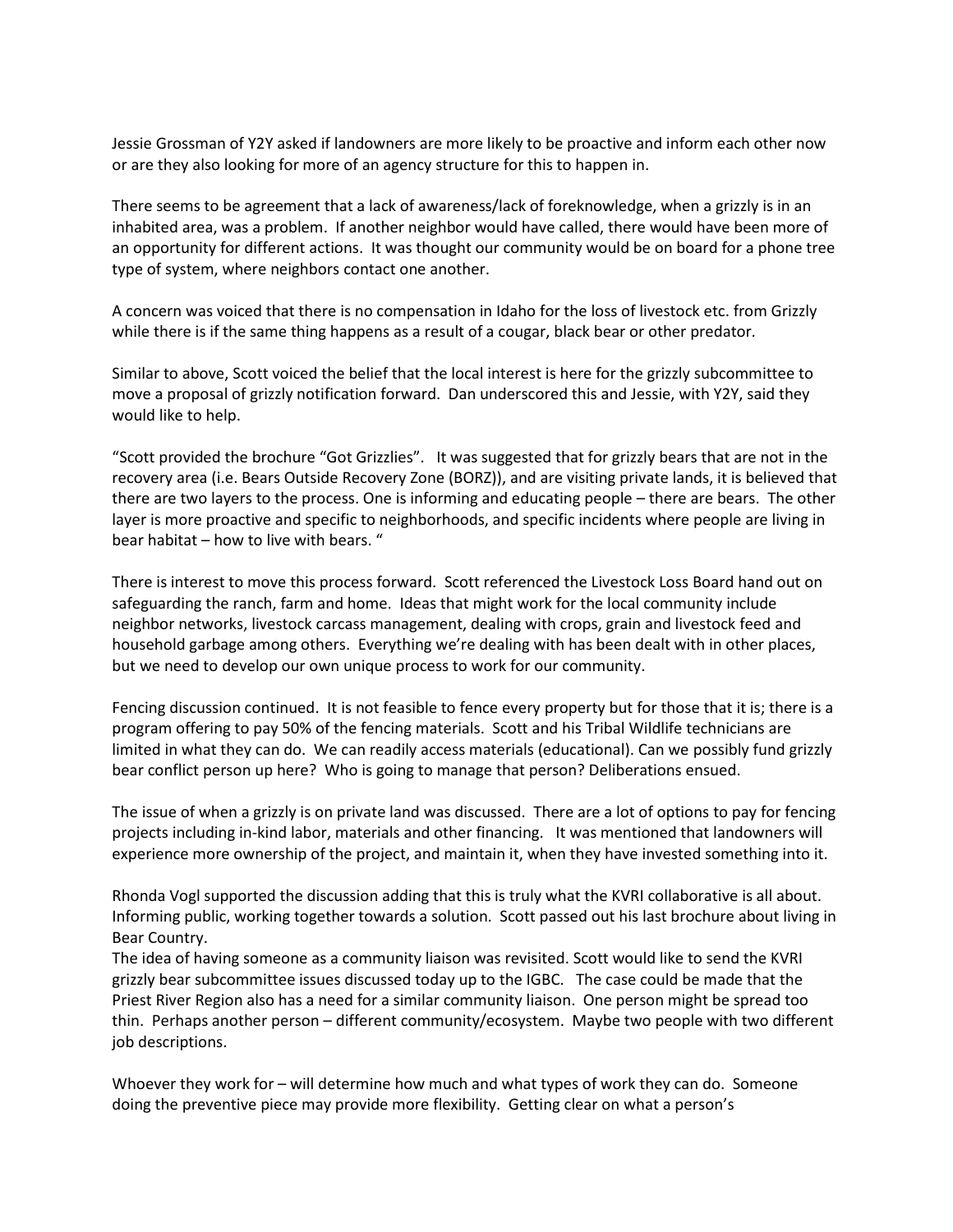Jessie Grossman of Y2Y asked if landowners are more likely to be proactive and inform each other now or are they also looking for more of an agency structure for this to happen in.

There seems to be agreement that a lack of awareness/lack of foreknowledge, when a grizzly is in an inhabited area, was a problem. If another neighbor would have called, there would have been more of an opportunity for different actions. It was thought our community would be on board for a phone tree type of system, where neighbors contact one another.

A concern was voiced that there is no compensation in Idaho for the loss of livestock etc. from Grizzly while there is if the same thing happens as a result of a cougar, black bear or other predator*.*

Similar to above, Scott voiced the belief that the local interest is here for the grizzly subcommittee to move a proposal of grizzly notification forward. Dan underscored this and Jessie, with Y2Y, said they would like to help.

"Scott provided the brochure "Got Grizzlies". It was suggested that for grizzly bears that are not in the recovery area (i.e. Bears Outside Recovery Zone (BORZ)), and are visiting private lands, it is believed that there are two layers to the process. One is informing and educating people – there are bears. The other layer is more proactive and specific to neighborhoods, and specific incidents where people are living in bear habitat – how to live with bears. "

There is interest to move this process forward. Scott referenced the Livestock Loss Board hand out on safeguarding the ranch, farm and home. Ideas that might work for the local community include neighbor networks, livestock carcass management, dealing with crops, grain and livestock feed and household garbage among others. Everything we're dealing with has been dealt with in other places, but we need to develop our own unique process to work for our community.

Fencing discussion continued. It is not feasible to fence every property but for those that it is; there is a program offering to pay 50% of the fencing materials. Scott and his Tribal Wildlife technicians are limited in what they can do. We can readily access materials (educational). Can we possibly fund grizzly bear conflict person up here? Who is going to manage that person? Deliberations ensued.

The issue of when a grizzly is on private land was discussed. There are a lot of options to pay for fencing projects including in-kind labor, materials and other financing. It was mentioned that landowners will experience more ownership of the project, and maintain it, when they have invested something into it.

Rhonda Vogl supported the discussion adding that this is truly what the KVRI collaborative is all about. Informing public, working together towards a solution. Scott passed out his last brochure about living in Bear Country.

The idea of having someone as a community liaison was revisited. Scott would like to send the KVRI grizzly bear subcommittee issues discussed today up to the IGBC. The case could be made that the Priest River Region also has a need for a similar community liaison. One person might be spread too thin. Perhaps another person – different community/ecosystem. Maybe two people with two different job descriptions.

Whoever they work for – will determine how much and what types of work they can do. Someone doing the preventive piece may provide more flexibility. Getting clear on what a person's